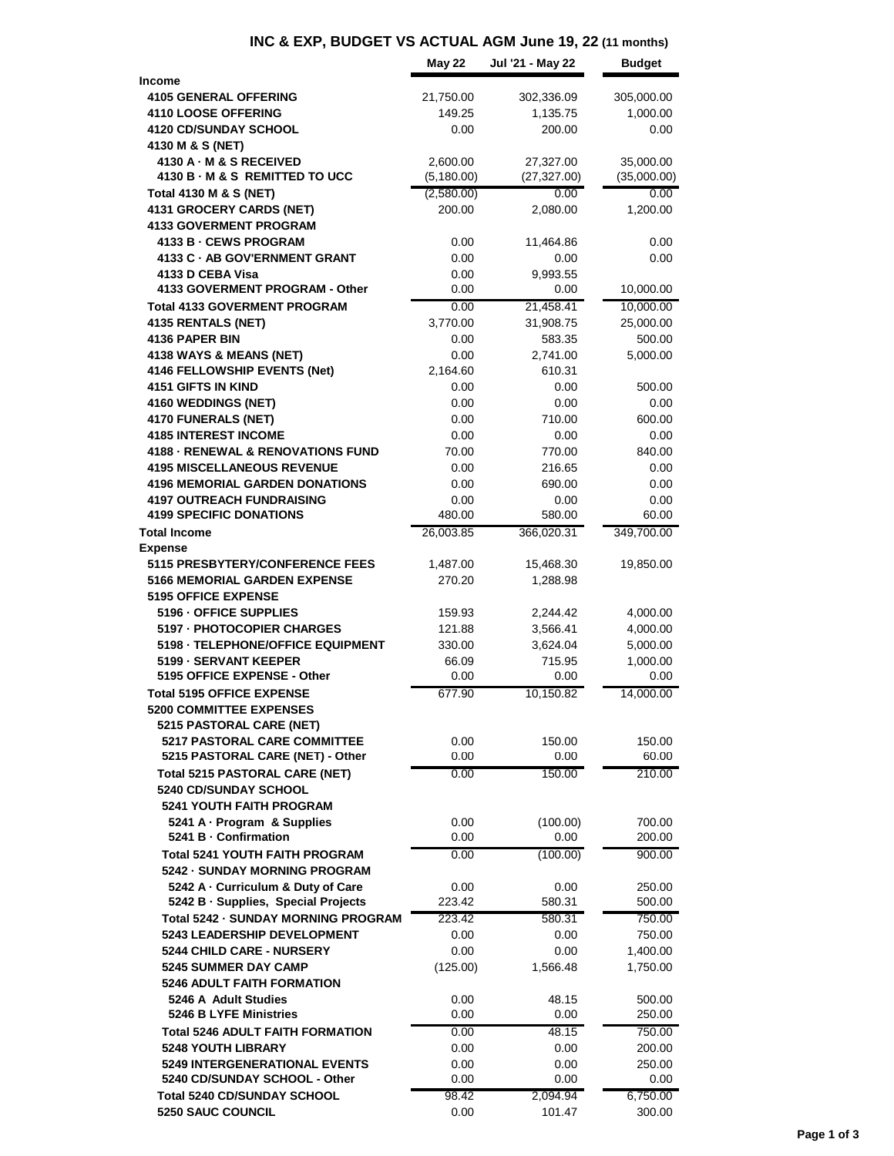## **INC & EXP, BUDGET VS ACTUAL AGM June 19, 22 (11 months)**

|                                                                                   | May 22         | Jul '21 - May 22   | <b>Budget</b>    |
|-----------------------------------------------------------------------------------|----------------|--------------------|------------------|
| <b>Income</b>                                                                     |                |                    |                  |
| <b>4105 GENERAL OFFERING</b>                                                      | 21,750.00      | 302,336.09         | 305,000.00       |
| 4110 LOOSE OFFERING<br><b>4120 CD/SUNDAY SCHOOL</b>                               | 149.25<br>0.00 | 1,135.75<br>200.00 | 1,000.00<br>0.00 |
| 4130 M & S (NET)                                                                  |                |                    |                  |
| 4130 A · M & S RECEIVED                                                           | 2,600.00       | 27,327.00          | 35,000.00        |
| 4130 B - M & S REMITTED TO UCC                                                    | (5, 180.00)    | (27, 327.00)       | (35,000.00)      |
| Total 4130 M & S (NET)                                                            | (2,580.00)     | 0.00               | 0.00             |
| 4131 GROCERY CARDS (NET)                                                          | 200.00         | 2,080.00           | 1,200.00         |
| <b>4133 GOVERMENT PROGRAM</b>                                                     |                |                    |                  |
| 4133 B - CEWS PROGRAM                                                             | 0.00           | 11,464.86          | 0.00             |
| 4133 C · AB GOV'ERNMENT GRANT                                                     | 0.00           | 0.00               | 0.00             |
| 4133 D CEBA Visa<br>4133 GOVERMENT PROGRAM - Other                                | 0.00<br>0.00   | 9,993.55<br>0.00   | 10,000.00        |
| <b>Total 4133 GOVERMENT PROGRAM</b>                                               | 0.00           | 21,458.41          | 10,000.00        |
| 4135 RENTALS (NET)                                                                | 3,770.00       | 31,908.75          | 25,000.00        |
| <b>4136 PAPER BIN</b>                                                             | 0.00           | 583.35             | 500.00           |
| 4138 WAYS & MEANS (NET)                                                           | 0.00           | 2,741.00           | 5,000.00         |
| 4146 FELLOWSHIP EVENTS (Net)                                                      | 2,164.60       | 610.31             |                  |
| <b>4151 GIFTS IN KIND</b>                                                         | 0.00           | 0.00               | 500.00           |
| 4160 WEDDINGS (NET)                                                               | 0.00           | 0.00               | 0.00             |
| 4170 FUNERALS (NET)                                                               | 0.00           | 710.00             | 600.00           |
| <b>4185 INTEREST INCOME</b>                                                       | 0.00           | 0.00               | 0.00             |
| <b>4188 - RENEWAL &amp; RENOVATIONS FUND</b>                                      | 70.00          | 770.00             | 840.00           |
| <b>4195 MISCELLANEOUS REVENUE</b>                                                 | 0.00           | 216.65             | 0.00             |
| <b>4196 MEMORIAL GARDEN DONATIONS</b>                                             | 0.00           | 690.00             | 0.00             |
| <b>4197 OUTREACH FUNDRAISING</b><br><b>4199 SPECIFIC DONATIONS</b>                | 0.00<br>480.00 | 0.00<br>580.00     | 0.00<br>60.00    |
| <b>Total Income</b>                                                               | 26,003.85      | 366,020.31         | 349,700.00       |
| <b>Expense</b>                                                                    |                |                    |                  |
| 5115 PRESBYTERY/CONFERENCE FEES                                                   | 1,487.00       | 15,468.30          | 19,850.00        |
| <b>5166 MEMORIAL GARDEN EXPENSE</b>                                               | 270.20         | 1,288.98           |                  |
| <b>5195 OFFICE EXPENSE</b>                                                        |                |                    |                  |
| 5196 - OFFICE SUPPLIES                                                            | 159.93         | 2,244.42           | 4,000.00         |
| 5197 - PHOTOCOPIER CHARGES                                                        | 121.88         | 3,566.41           | 4,000.00         |
| 5198 - TELEPHONE/OFFICE EQUIPMENT                                                 | 330.00         | 3,624.04           | 5,000.00         |
| 5199 - SERVANT KEEPER                                                             | 66.09          | 715.95             | 1,000.00         |
| 5195 OFFICE EXPENSE - Other                                                       | 0.00           | 0.00               | 0.00             |
| <b>Total 5195 OFFICE EXPENSE</b>                                                  | 677.90         | 10,150.82          | 14,000.00        |
| 5200 COMMITTEE EXPENSES                                                           |                |                    |                  |
| 5215 PASTORAL CARE (NET)<br><b>5217 PASTORAL CARE COMMITTEE</b>                   | 0.00           | 150.00             | 150.00           |
| 5215 PASTORAL CARE (NET) - Other                                                  | 0.00           | 0.00               | 60.00            |
| <b>Total 5215 PASTORAL CARE (NET)</b>                                             | 0.00           | 150.00             | 210.00           |
| <b>5240 CD/SUNDAY SCHOOL</b>                                                      |                |                    |                  |
| <b>5241 YOUTH FAITH PROGRAM</b>                                                   |                |                    |                  |
| 5241 A - Program & Supplies                                                       | 0.00           | (100.00)           | 700.00           |
| 5241 B - Confirmation                                                             | 0.00           | 0.00               | 200.00           |
| <b>Total 5241 YOUTH FAITH PROGRAM</b>                                             | 0.00           | (100.00)           | 900.00           |
| 5242 - SUNDAY MORNING PROGRAM                                                     |                |                    |                  |
| 5242 A - Curriculum & Duty of Care                                                | 0.00           | 0.00               | 250.00           |
| 5242 B · Supplies, Special Projects<br><b>Total 5242 - SUNDAY MORNING PROGRAM</b> | 223.42         | 580.31             | 500.00           |
| 5243 LEADERSHIP DEVELOPMENT                                                       | 223.42<br>0.00 | 580.31<br>0.00     | 750.00<br>750.00 |
| 5244 CHILD CARE - NURSERY                                                         | 0.00           | 0.00               | 1,400.00         |
| <b>5245 SUMMER DAY CAMP</b>                                                       | (125.00)       | 1,566.48           | 1,750.00         |
| <b>5246 ADULT FAITH FORMATION</b>                                                 |                |                    |                  |
| 5246 A Adult Studies                                                              | 0.00           | 48.15              | 500.00           |
| <b>5246 B LYFE Ministries</b>                                                     | 0.00           | 0.00               | 250.00           |
| <b>Total 5246 ADULT FAITH FORMATION</b>                                           | 0.00           | 48.15              | 750.00           |
| <b>5248 YOUTH LIBRARY</b>                                                         | 0.00           | 0.00               | 200.00           |
| <b>5249 INTERGENERATIONAL EVENTS</b>                                              | 0.00           | 0.00               | 250.00           |
| 5240 CD/SUNDAY SCHOOL - Other                                                     | 0.00           | 0.00               | 0.00             |
| Total 5240 CD/SUNDAY SCHOOL                                                       | 98.42          | 2,094.94           | 6,750.00         |
| 5250 SAUC COUNCIL                                                                 | 0.00           | 101.47             | 300.00           |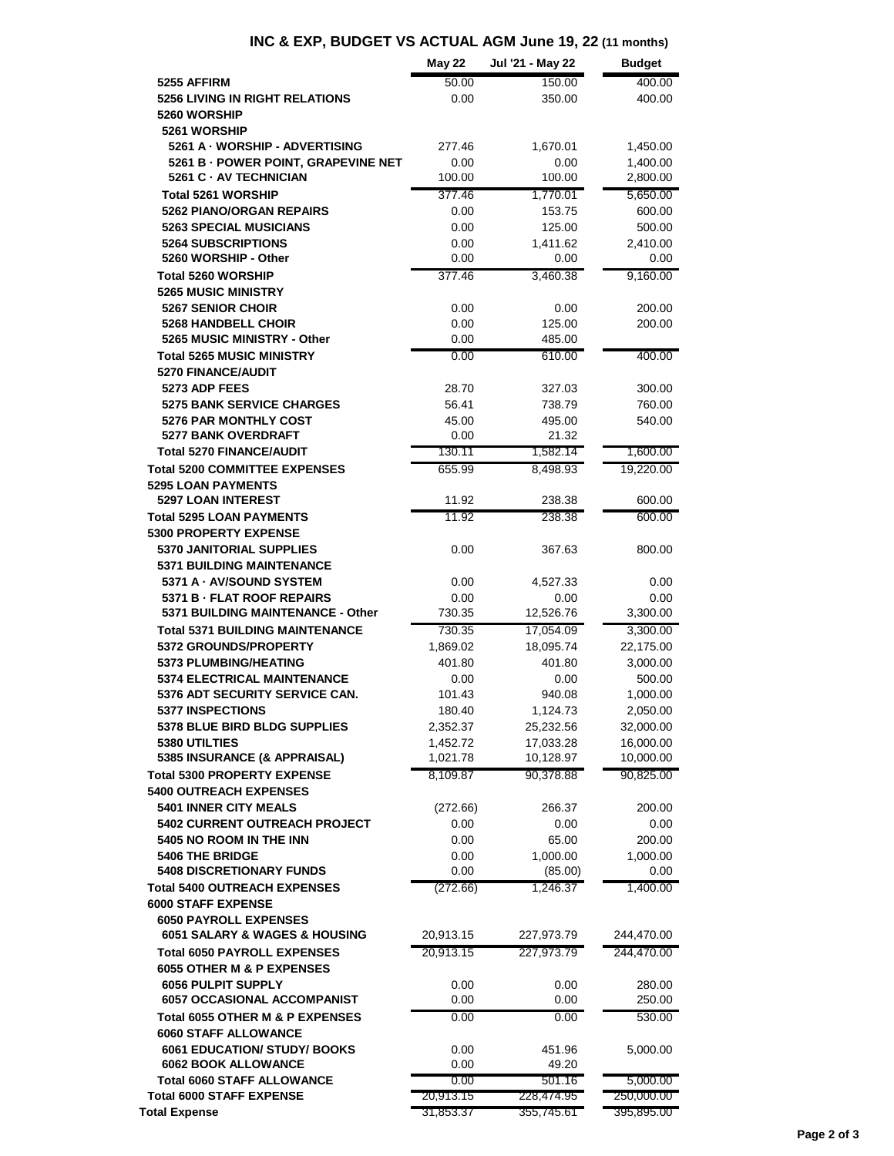## **INC & EXP, BUDGET VS ACTUAL AGM June 19, 22 (11 months)**

|                                                                      | <b>May 22</b>     | Jul '21 - May 22     | <b>Budget</b>          |
|----------------------------------------------------------------------|-------------------|----------------------|------------------------|
| 5255 AFFIRM                                                          | 50.00             | 150.00               | 400.00                 |
| <b>5256 LIVING IN RIGHT RELATIONS</b><br>5260 WORSHIP                | 0.00              | 350.00               | 400.00                 |
| 5261 WORSHIP                                                         |                   |                      |                        |
| 5261 A - WORSHIP - ADVERTISING                                       | 277.46            | 1,670.01             | 1,450.00               |
| 5261 B - POWER POINT, GRAPEVINE NET                                  | 0.00              | 0.00                 | 1,400.00               |
| 5261 C - AV TECHNICIAN                                               | 100.00            | 100.00               | 2,800.00               |
| <b>Total 5261 WORSHIP</b>                                            | 377.46            | 1,770.01             | 5,650.00               |
| <b>5262 PIANO/ORGAN REPAIRS</b>                                      | 0.00              | 153.75               | 600.00                 |
| <b>5263 SPECIAL MUSICIANS</b>                                        | 0.00              | 125.00               | 500.00                 |
| <b>5264 SUBSCRIPTIONS</b><br>5260 WORSHIP - Other                    | 0.00<br>0.00      | 1,411.62<br>0.00     | 2,410.00<br>0.00       |
| <b>Total 5260 WORSHIP</b>                                            | 377.46            | 3,460.38             | 9,160.00               |
| <b>5265 MUSIC MINISTRY</b>                                           |                   |                      |                        |
| <b>5267 SENIOR CHOIR</b>                                             | 0.00              | 0.00                 | 200.00                 |
| <b>5268 HANDBELL CHOIR</b>                                           | 0.00              | 125.00               | 200.00                 |
| 5265 MUSIC MINISTRY - Other                                          | 0.00              | 485.00               |                        |
| <b>Total 5265 MUSIC MINISTRY</b>                                     | 0.00              | 610.00               | 400.00                 |
| 5270 FINANCE/AUDIT<br>5273 ADP FEES                                  | 28.70             |                      |                        |
| <b>5275 BANK SERVICE CHARGES</b>                                     | 56.41             | 327.03<br>738.79     | 300.00<br>760.00       |
| <b>5276 PAR MONTHLY COST</b>                                         | 45.00             | 495.00               | 540.00                 |
| <b>5277 BANK OVERDRAFT</b>                                           | 0.00              | 21.32                |                        |
| <b>Total 5270 FINANCE/AUDIT</b>                                      | 130.11            | 1,582.14             | 1,600.00               |
| <b>Total 5200 COMMITTEE EXPENSES</b>                                 | 655.99            | 8,498.93             | 19,220.00              |
| <b>5295 LOAN PAYMENTS</b>                                            |                   |                      |                        |
| <b>5297 LOAN INTEREST</b>                                            | 11.92             | 238.38               | 600.00                 |
| <b>Total 5295 LOAN PAYMENTS</b><br><b>5300 PROPERTY EXPENSE</b>      | 11.92             | 238.38               | 600.00                 |
| 5370 JANITORIAL SUPPLIES                                             | 0.00              | 367.63               | 800.00                 |
| <b>5371 BUILDING MAINTENANCE</b>                                     |                   |                      |                        |
| 5371 A - AV/SOUND SYSTEM                                             | 0.00              | 4,527.33             | 0.00                   |
| 5371 B - FLAT ROOF REPAIRS                                           | 0.00              | 0.00                 | 0.00                   |
| 5371 BUILDING MAINTENANCE - Other                                    | 730.35            | 12,526.76            | 3,300.00               |
| <b>Total 5371 BUILDING MAINTENANCE</b>                               | 730.35            | 17,054.09            | 3,300.00               |
| 5372 GROUNDS/PROPERTY                                                | 1,869.02          | 18,095.74            | 22,175.00              |
| 5373 PLUMBING/HEATING<br><b>5374 ELECTRICAL MAINTENANCE</b>          | 401.80            | 401.80               | 3,000.00<br>500.00     |
| 5376 ADT SECURITY SERVICE CAN.                                       | 0.00<br>101.43    | 0.00<br>940.08       | 1,000.00               |
| <b>5377 INSPECTIONS</b>                                              | 180.40            | 1,124.73             | 2,050.00               |
| 5378 BLUE BIRD BLDG SUPPLIES                                         | 2,352.37          | 25,232.56            | 32,000.00              |
| 5380 UTILTIES                                                        | 1,452.72          | 17,033.28            | 16,000.00              |
| 5385 INSURANCE (& APPRAISAL)                                         | 1,021.78          | 10,128.97            | 10,000.00              |
| <b>Total 5300 PROPERTY EXPENSE</b>                                   | 8,109.87          | 90,378.88            | 90,825.00              |
| <b>5400 OUTREACH EXPENSES</b>                                        |                   |                      |                        |
| 5401 INNER CITY MEALS<br>5402 CURRENT OUTREACH PROJECT               | (272.66)<br>0.00  | 266.37<br>0.00       | 200.00<br>0.00         |
| 5405 NO ROOM IN THE INN                                              | 0.00              | 65.00                | 200.00                 |
| <b>5406 THE BRIDGE</b>                                               | 0.00              | 1,000.00             | 1,000.00               |
| <b>5408 DISCRETIONARY FUNDS</b>                                      | 0.00              | (85.00)              | 0.00                   |
| <b>Total 5400 OUTREACH EXPENSES</b>                                  | (272.66)          | 1.246.37             | 1,400.00               |
| <b>6000 STAFF EXPENSE</b>                                            |                   |                      |                        |
| <b>6050 PAYROLL EXPENSES</b>                                         |                   |                      |                        |
| 6051 SALARY & WAGES & HOUSING                                        | 20,913.15         | 227,973.79           | 244,470.00             |
| <b>Total 6050 PAYROLL EXPENSES</b>                                   | 20,913.15         | 227,973.79           | 244,470.00             |
| 6055 OTHER M & P EXPENSES<br><b>6056 PULPIT SUPPLY</b>               | 0.00              | 0.00                 | 280.00                 |
| <b>6057 OCCASIONAL ACCOMPANIST</b>                                   | 0.00              | 0.00                 | 250.00                 |
| Total 6055 OTHER M & P EXPENSES                                      | 0.00              | 0.00                 | 530.00                 |
| <b>6060 STAFF ALLOWANCE</b>                                          |                   |                      |                        |
| <b>6061 EDUCATION/ STUDY/ BOOKS</b>                                  | 0.00              | 451.96               | 5,000.00               |
| <b>6062 BOOK ALLOWANCE</b>                                           | 0.00              | 49.20                |                        |
| <b>Total 6060 STAFF ALLOWANCE</b><br><b>Total 6000 STAFF EXPENSE</b> | 0.00<br>20,913.15 | 501.16<br>228,474.95 | 5,000.00<br>250,000.00 |
| <b>Total Expense</b>                                                 | 31,853.37         | 355,745.61           | 395,895.00             |
|                                                                      |                   |                      |                        |